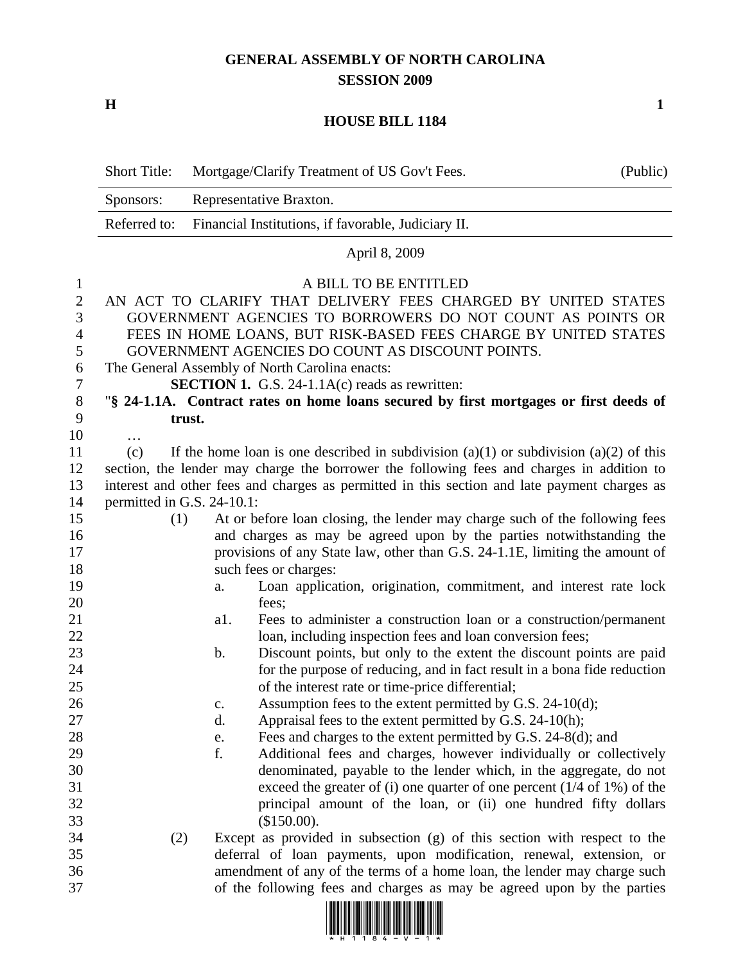## **GENERAL ASSEMBLY OF NORTH CAROLINA SESSION 2009**

**H** 1

## **HOUSE BILL 1184**

|                                                                                             | <b>Short Title:</b>                                                                                                                                                                                                                                                                                                                                                                                                                                                                                                                                                                                                                                                                                                                                                  | Mortgage/Clarify Treatment of US Gov't Fees.<br>(Public)                                                                                                                                                                                                                                                                                                                                                                                                                                                                                                                                                                                                                                                                                                                                                                 |  |  |  |  |  |  |
|---------------------------------------------------------------------------------------------|----------------------------------------------------------------------------------------------------------------------------------------------------------------------------------------------------------------------------------------------------------------------------------------------------------------------------------------------------------------------------------------------------------------------------------------------------------------------------------------------------------------------------------------------------------------------------------------------------------------------------------------------------------------------------------------------------------------------------------------------------------------------|--------------------------------------------------------------------------------------------------------------------------------------------------------------------------------------------------------------------------------------------------------------------------------------------------------------------------------------------------------------------------------------------------------------------------------------------------------------------------------------------------------------------------------------------------------------------------------------------------------------------------------------------------------------------------------------------------------------------------------------------------------------------------------------------------------------------------|--|--|--|--|--|--|
|                                                                                             | Sponsors:                                                                                                                                                                                                                                                                                                                                                                                                                                                                                                                                                                                                                                                                                                                                                            | Representative Braxton.                                                                                                                                                                                                                                                                                                                                                                                                                                                                                                                                                                                                                                                                                                                                                                                                  |  |  |  |  |  |  |
|                                                                                             | Referred to:                                                                                                                                                                                                                                                                                                                                                                                                                                                                                                                                                                                                                                                                                                                                                         | Financial Institutions, if favorable, Judiciary II.                                                                                                                                                                                                                                                                                                                                                                                                                                                                                                                                                                                                                                                                                                                                                                      |  |  |  |  |  |  |
|                                                                                             |                                                                                                                                                                                                                                                                                                                                                                                                                                                                                                                                                                                                                                                                                                                                                                      | April 8, 2009                                                                                                                                                                                                                                                                                                                                                                                                                                                                                                                                                                                                                                                                                                                                                                                                            |  |  |  |  |  |  |
| $\mathbf{1}$<br>$\overline{2}$<br>3<br>$\overline{4}$<br>5<br>6<br>7<br>$8\phantom{1}$<br>9 | A BILL TO BE ENTITLED<br>AN ACT TO CLARIFY THAT DELIVERY FEES CHARGED BY UNITED STATES<br>GOVERNMENT AGENCIES TO BORROWERS DO NOT COUNT AS POINTS OR<br>FEES IN HOME LOANS, BUT RISK-BASED FEES CHARGE BY UNITED STATES<br>GOVERNMENT AGENCIES DO COUNT AS DISCOUNT POINTS.<br>The General Assembly of North Carolina enacts:<br><b>SECTION 1.</b> G.S. 24-1.1 $A(c)$ reads as rewritten:<br>"§ 24-1.1A. Contract rates on home loans secured by first mortgages or first deeds of                                                                                                                                                                                                                                                                                   |                                                                                                                                                                                                                                                                                                                                                                                                                                                                                                                                                                                                                                                                                                                                                                                                                          |  |  |  |  |  |  |
| 10                                                                                          |                                                                                                                                                                                                                                                                                                                                                                                                                                                                                                                                                                                                                                                                                                                                                                      | trust.                                                                                                                                                                                                                                                                                                                                                                                                                                                                                                                                                                                                                                                                                                                                                                                                                   |  |  |  |  |  |  |
| 11<br>12<br>13<br>14<br>15<br>16<br>17<br>18<br>19<br>20<br>21                              | .<br>If the home loan is one described in subdivision (a)(1) or subdivision (a)(2) of this<br>(c)<br>section, the lender may charge the borrower the following fees and charges in addition to<br>interest and other fees and charges as permitted in this section and late payment charges as<br>permitted in G.S. 24-10.1:<br>At or before loan closing, the lender may charge such of the following fees<br>(1)<br>and charges as may be agreed upon by the parties notwithstanding the<br>provisions of any State law, other than G.S. 24-1.1E, limiting the amount of<br>such fees or charges:<br>Loan application, origination, commitment, and interest rate lock<br>a.<br>fees;<br>a1.<br>Fees to administer a construction loan or a construction/permanent |                                                                                                                                                                                                                                                                                                                                                                                                                                                                                                                                                                                                                                                                                                                                                                                                                          |  |  |  |  |  |  |
| 22<br>23<br>24<br>25<br>26<br>27<br>28<br>29<br>30<br>31<br>32<br>33                        |                                                                                                                                                                                                                                                                                                                                                                                                                                                                                                                                                                                                                                                                                                                                                                      | loan, including inspection fees and loan conversion fees;<br>Discount points, but only to the extent the discount points are paid<br>$\mathbf b$ .<br>for the purpose of reducing, and in fact result in a bona fide reduction<br>of the interest rate or time-price differential;<br>Assumption fees to the extent permitted by G.S. 24-10(d);<br>c.<br>Appraisal fees to the extent permitted by G.S. 24-10(h);<br>d.<br>Fees and charges to the extent permitted by G.S. 24-8(d); and<br>e.<br>f.<br>Additional fees and charges, however individually or collectively<br>denominated, payable to the lender which, in the aggregate, do not<br>exceed the greater of (i) one quarter of one percent $(1/4 \text{ of } 1\%)$ of the<br>principal amount of the loan, or (ii) one hundred fifty dollars<br>(\$150.00). |  |  |  |  |  |  |
| 34<br>35<br>36<br>37                                                                        | (2)                                                                                                                                                                                                                                                                                                                                                                                                                                                                                                                                                                                                                                                                                                                                                                  | Except as provided in subsection (g) of this section with respect to the<br>deferral of loan payments, upon modification, renewal, extension, or<br>amendment of any of the terms of a home loan, the lender may charge such<br>of the following fees and charges as may be agreed upon by the parties<br>וסטו וסוו וסטטו וסווס וסטו וסוס וווסו וסטו וסטו וסוס ווסוסטו ו                                                                                                                                                                                                                                                                                                                                                                                                                                                 |  |  |  |  |  |  |

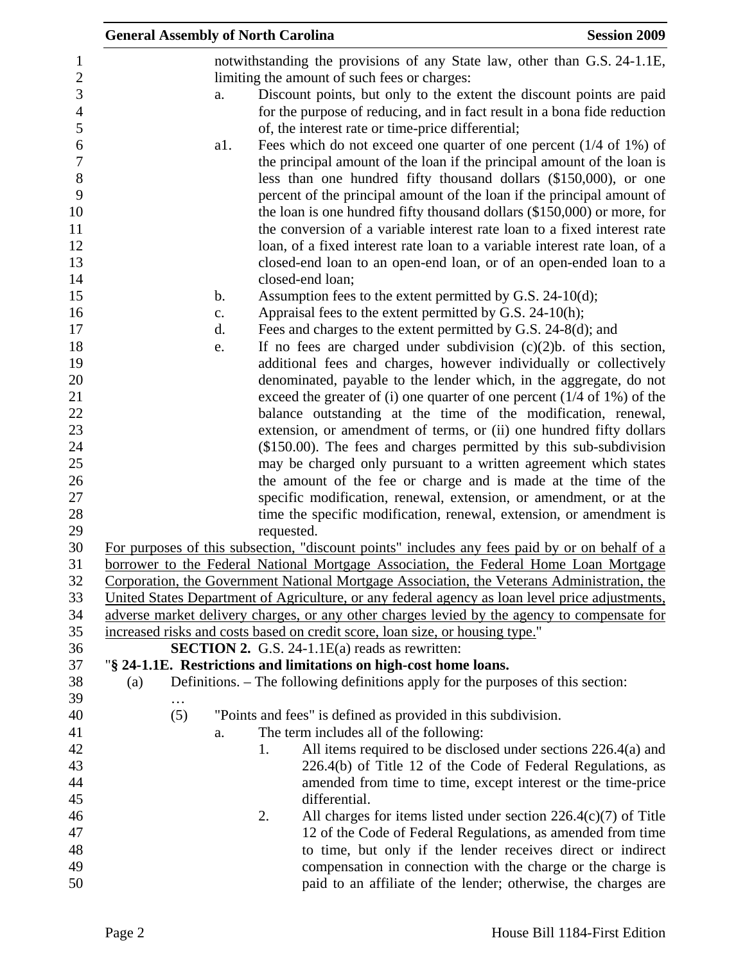|     | <b>General Assembly of North Carolina</b> |               |    |                                                                                                                                                                                                                               | <b>Session 2009</b> |
|-----|-------------------------------------------|---------------|----|-------------------------------------------------------------------------------------------------------------------------------------------------------------------------------------------------------------------------------|---------------------|
|     |                                           |               |    | notwithstanding the provisions of any State law, other than G.S. 24-1.1E,                                                                                                                                                     |                     |
|     |                                           |               |    | limiting the amount of such fees or charges:                                                                                                                                                                                  |                     |
|     |                                           | a.            |    | Discount points, but only to the extent the discount points are paid                                                                                                                                                          |                     |
|     |                                           |               |    | for the purpose of reducing, and in fact result in a bona fide reduction                                                                                                                                                      |                     |
|     |                                           |               |    | of, the interest rate or time-price differential;                                                                                                                                                                             |                     |
|     |                                           | a1.           |    | Fees which do not exceed one quarter of one percent $(1/4 \text{ of } 1\%)$ of<br>the principal amount of the loan if the principal amount of the loan is<br>less than one hundred fifty thousand dollars (\$150,000), or one |                     |
|     |                                           |               |    | percent of the principal amount of the loan if the principal amount of<br>the loan is one hundred fifty thousand dollars (\$150,000) or more, for<br>the conversion of a variable interest rate loan to a fixed interest rate |                     |
|     |                                           |               |    | loan, of a fixed interest rate loan to a variable interest rate loan, of a<br>closed-end loan to an open-end loan, or of an open-ended loan to a                                                                              |                     |
|     |                                           | $\mathbf b$ . |    | closed-end loan;<br>Assumption fees to the extent permitted by G.S. $24-10(d)$ ;                                                                                                                                              |                     |
|     |                                           | c.            |    | Appraisal fees to the extent permitted by G.S. 24-10(h);                                                                                                                                                                      |                     |
|     |                                           | d.            |    | Fees and charges to the extent permitted by G.S. 24-8(d); and                                                                                                                                                                 |                     |
|     |                                           | e.            |    | If no fees are charged under subdivision $(c)(2)b$ . of this section,                                                                                                                                                         |                     |
|     |                                           |               |    | additional fees and charges, however individually or collectively                                                                                                                                                             |                     |
|     |                                           |               |    | denominated, payable to the lender which, in the aggregate, do not                                                                                                                                                            |                     |
|     |                                           |               |    | exceed the greater of (i) one quarter of one percent $(1/4$ of 1%) of the                                                                                                                                                     |                     |
|     |                                           |               |    | balance outstanding at the time of the modification, renewal,                                                                                                                                                                 |                     |
|     |                                           |               |    | extension, or amendment of terms, or (ii) one hundred fifty dollars                                                                                                                                                           |                     |
|     |                                           |               |    | $($150.00)$ . The fees and charges permitted by this sub-subdivision                                                                                                                                                          |                     |
|     |                                           |               |    | may be charged only pursuant to a written agreement which states                                                                                                                                                              |                     |
|     |                                           |               |    | the amount of the fee or charge and is made at the time of the                                                                                                                                                                |                     |
|     |                                           |               |    | specific modification, renewal, extension, or amendment, or at the                                                                                                                                                            |                     |
|     |                                           |               |    | time the specific modification, renewal, extension, or amendment is                                                                                                                                                           |                     |
|     |                                           |               |    | requested.                                                                                                                                                                                                                    |                     |
|     |                                           |               |    | For purposes of this subsection, "discount points" includes any fees paid by or on behalf of a<br>borrower to the Federal National Mortgage Association, the Federal Home Loan Mortgage                                       |                     |
|     |                                           |               |    | Corporation, the Government National Mortgage Association, the Veterans Administration, the                                                                                                                                   |                     |
|     |                                           |               |    | United States Department of Agriculture, or any federal agency as loan level price adjustments,                                                                                                                               |                     |
|     |                                           |               |    | adverse market delivery charges, or any other charges levied by the agency to compensate for                                                                                                                                  |                     |
|     |                                           |               |    | increased risks and costs based on credit score, loan size, or housing type."                                                                                                                                                 |                     |
|     |                                           |               |    | <b>SECTION 2.</b> G.S. 24-1.1 $E(a)$ reads as rewritten:                                                                                                                                                                      |                     |
|     |                                           |               |    | "§ 24-1.1E. Restrictions and limitations on high-cost home loans.                                                                                                                                                             |                     |
| (a) |                                           |               |    | Definitions. – The following definitions apply for the purposes of this section:                                                                                                                                              |                     |
|     | (5)                                       |               |    | "Points and fees" is defined as provided in this subdivision.                                                                                                                                                                 |                     |
|     |                                           | a.            |    | The term includes all of the following:                                                                                                                                                                                       |                     |
|     |                                           |               | 1. | All items required to be disclosed under sections 226.4(a) and                                                                                                                                                                |                     |
|     |                                           |               |    | 226.4(b) of Title 12 of the Code of Federal Regulations, as                                                                                                                                                                   |                     |
|     |                                           |               |    | amended from time to time, except interest or the time-price                                                                                                                                                                  |                     |
|     |                                           |               |    | differential.                                                                                                                                                                                                                 |                     |
|     |                                           |               | 2. | All charges for items listed under section $226.4(c)(7)$ of Title                                                                                                                                                             |                     |
|     |                                           |               |    | 12 of the Code of Federal Regulations, as amended from time                                                                                                                                                                   |                     |
|     |                                           |               |    | to time, but only if the lender receives direct or indirect                                                                                                                                                                   |                     |
|     |                                           |               |    | compensation in connection with the charge or the charge is                                                                                                                                                                   |                     |
|     |                                           |               |    | paid to an affiliate of the lender; otherwise, the charges are                                                                                                                                                                |                     |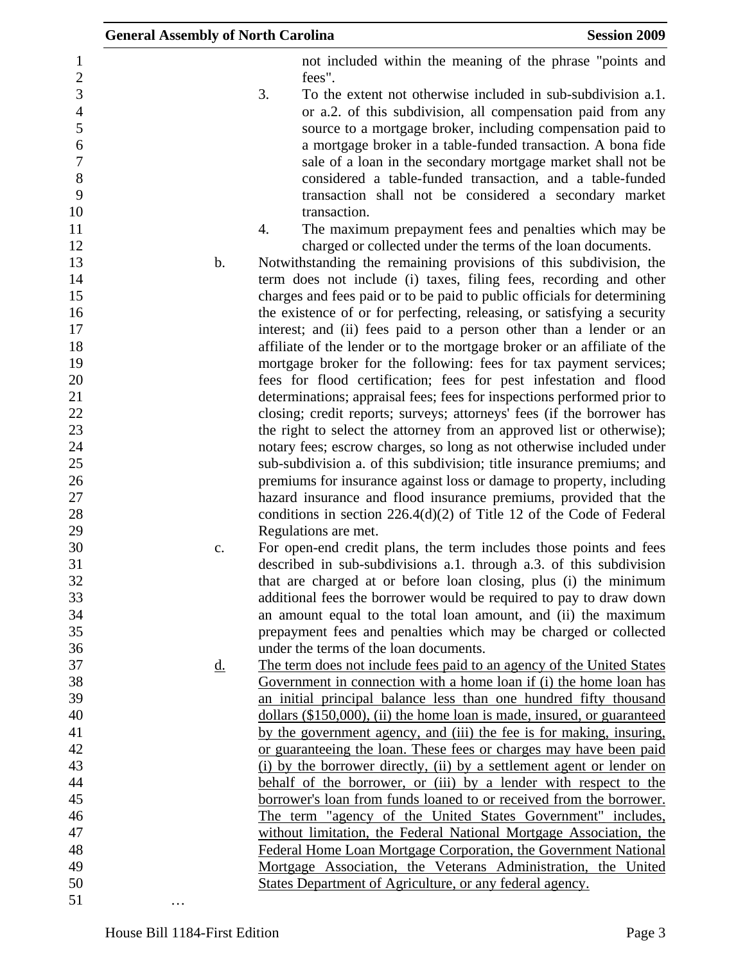|                     | <b>General Assembly of North Carolina</b> |                                                                                                                                    | <b>Session 2009</b>                                                                                                         |
|---------------------|-------------------------------------------|------------------------------------------------------------------------------------------------------------------------------------|-----------------------------------------------------------------------------------------------------------------------------|
| 1<br>$\overline{c}$ |                                           | fees".                                                                                                                             | not included within the meaning of the phrase "points and                                                                   |
| $\overline{3}$      | 3.                                        |                                                                                                                                    | To the extent not otherwise included in sub-subdivision a.1.                                                                |
| $\overline{4}$      |                                           |                                                                                                                                    | or a.2. of this subdivision, all compensation paid from any                                                                 |
| 5                   |                                           |                                                                                                                                    |                                                                                                                             |
| 6                   |                                           |                                                                                                                                    | source to a mortgage broker, including compensation paid to<br>a mortgage broker in a table-funded transaction. A bona fide |
| $\overline{7}$      |                                           |                                                                                                                                    |                                                                                                                             |
| 8                   |                                           |                                                                                                                                    | sale of a loan in the secondary mortgage market shall not be                                                                |
| 9                   |                                           |                                                                                                                                    | considered a table-funded transaction, and a table-funded<br>transaction shall not be considered a secondary market         |
| 10                  |                                           |                                                                                                                                    |                                                                                                                             |
| 11                  | 4.                                        | transaction.                                                                                                                       |                                                                                                                             |
| 12                  |                                           | charged or collected under the terms of the loan documents.                                                                        | The maximum prepayment fees and penalties which may be                                                                      |
| 13                  | $\mathbf b$ .                             | Notwithstanding the remaining provisions of this subdivision, the                                                                  |                                                                                                                             |
| 14                  |                                           | term does not include (i) taxes, filing fees, recording and other                                                                  |                                                                                                                             |
| 15                  |                                           | charges and fees paid or to be paid to public officials for determining                                                            |                                                                                                                             |
| 16                  |                                           | the existence of or for perfecting, releasing, or satisfying a security                                                            |                                                                                                                             |
| 17                  |                                           | interest; and (ii) fees paid to a person other than a lender or an                                                                 |                                                                                                                             |
| 18                  |                                           | affiliate of the lender or to the mortgage broker or an affiliate of the                                                           |                                                                                                                             |
| 19                  |                                           | mortgage broker for the following: fees for tax payment services;                                                                  |                                                                                                                             |
| 20                  |                                           | fees for flood certification; fees for pest infestation and flood                                                                  |                                                                                                                             |
| 21                  |                                           | determinations; appraisal fees; fees for inspections performed prior to                                                            |                                                                                                                             |
| 22                  |                                           | closing; credit reports; surveys; attorneys' fees (if the borrower has                                                             |                                                                                                                             |
| 23                  |                                           | the right to select the attorney from an approved list or otherwise);                                                              |                                                                                                                             |
| 24                  |                                           | notary fees; escrow charges, so long as not otherwise included under                                                               |                                                                                                                             |
| 25                  |                                           | sub-subdivision a. of this subdivision; title insurance premiums; and                                                              |                                                                                                                             |
| 26                  |                                           | premiums for insurance against loss or damage to property, including                                                               |                                                                                                                             |
| 27                  |                                           | hazard insurance and flood insurance premiums, provided that the                                                                   |                                                                                                                             |
| 28                  |                                           | conditions in section $226.4(d)(2)$ of Title 12 of the Code of Federal                                                             |                                                                                                                             |
| 29                  |                                           | Regulations are met.                                                                                                               |                                                                                                                             |
| 30                  | c.                                        | For open-end credit plans, the term includes those points and fees                                                                 |                                                                                                                             |
| 31                  |                                           | described in sub-subdivisions a.1. through a.3. of this subdivision                                                                |                                                                                                                             |
| 32                  |                                           | that are charged at or before loan closing, plus (i) the minimum                                                                   |                                                                                                                             |
| 33                  |                                           | additional fees the borrower would be required to pay to draw down                                                                 |                                                                                                                             |
| 34                  |                                           | an amount equal to the total loan amount, and (ii) the maximum                                                                     |                                                                                                                             |
| 35                  |                                           | prepayment fees and penalties which may be charged or collected                                                                    |                                                                                                                             |
| 36                  |                                           | under the terms of the loan documents.                                                                                             |                                                                                                                             |
| 37                  | <u>d.</u>                                 | The term does not include fees paid to an agency of the United States                                                              |                                                                                                                             |
| 38                  |                                           | Government in connection with a home loan if (i) the home loan has                                                                 |                                                                                                                             |
| 39                  |                                           | an initial principal balance less than one hundred fifty thousand                                                                  |                                                                                                                             |
| 40                  |                                           | dollars (\$150,000), (ii) the home loan is made, insured, or guaranteed                                                            |                                                                                                                             |
| 41                  |                                           | by the government agency, and (iii) the fee is for making, insuring,                                                               |                                                                                                                             |
| 42                  |                                           | or guaranteeing the loan. These fees or charges may have been paid                                                                 |                                                                                                                             |
| 43                  |                                           | (i) by the borrower directly, (ii) by a settlement agent or lender on                                                              |                                                                                                                             |
| 44                  |                                           | behalf of the borrower, or (iii) by a lender with respect to the                                                                   |                                                                                                                             |
| 45<br>46            |                                           | borrower's loan from funds loaned to or received from the borrower.<br>The term "agency of the United States Government" includes, |                                                                                                                             |
| 47                  |                                           | without limitation, the Federal National Mortgage Association, the                                                                 |                                                                                                                             |
| 48                  |                                           | <b>Federal Home Loan Mortgage Corporation, the Government National</b>                                                             |                                                                                                                             |
| 49                  |                                           | Mortgage Association, the Veterans Administration, the United                                                                      |                                                                                                                             |
| 50                  |                                           | States Department of Agriculture, or any federal agency.                                                                           |                                                                                                                             |
| 51                  |                                           |                                                                                                                                    |                                                                                                                             |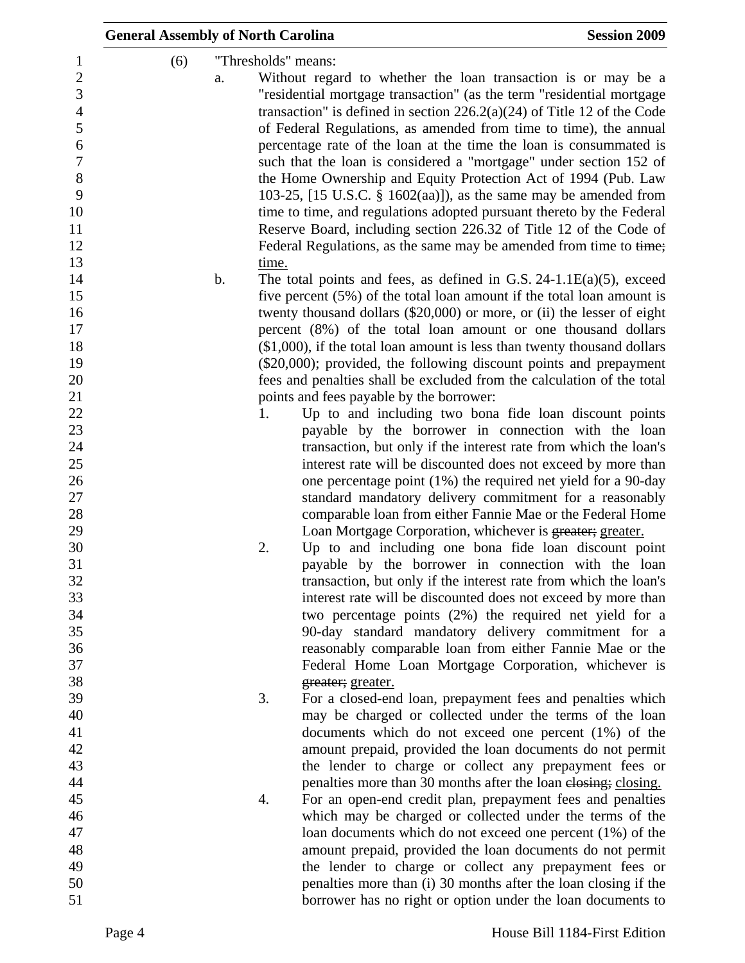| <b>General Assembly of North Carolina</b><br>(6) | a.<br>$\mathbf b$ . | time. | "Thresholds" means:<br>Without regard to whether the loan transaction is or may be a<br>"residential mortgage transaction" (as the term "residential mortgage<br>transaction" is defined in section $226.2(a)(24)$ of Title 12 of the Code<br>of Federal Regulations, as amended from time to time), the annual<br>percentage rate of the loan at the time the loan is consummated is<br>such that the loan is considered a "mortgage" under section 152 of<br>the Home Ownership and Equity Protection Act of 1994 (Pub. Law<br>103-25, $[15 \text{ U.S.C. } § 1602(aa)]$ , as the same may be amended from<br>time to time, and regulations adopted pursuant thereto by the Federal<br>Reserve Board, including section 226.32 of Title 12 of the Code of<br>Federal Regulations, as the same may be amended from time to time;<br>The total points and fees, as defined in G.S. $24-1.1E(a)(5)$ , exceed | <b>Session 2009</b> |
|--------------------------------------------------|---------------------|-------|-------------------------------------------------------------------------------------------------------------------------------------------------------------------------------------------------------------------------------------------------------------------------------------------------------------------------------------------------------------------------------------------------------------------------------------------------------------------------------------------------------------------------------------------------------------------------------------------------------------------------------------------------------------------------------------------------------------------------------------------------------------------------------------------------------------------------------------------------------------------------------------------------------------|---------------------|
|                                                  |                     |       | five percent $(5\%)$ of the total loan amount if the total loan amount is<br>twenty thousand dollars (\$20,000) or more, or (ii) the lesser of eight                                                                                                                                                                                                                                                                                                                                                                                                                                                                                                                                                                                                                                                                                                                                                        |                     |
|                                                  |                     |       | percent (8%) of the total loan amount or one thousand dollars                                                                                                                                                                                                                                                                                                                                                                                                                                                                                                                                                                                                                                                                                                                                                                                                                                               |                     |
|                                                  |                     |       | $($1,000)$ , if the total loan amount is less than twenty thousand dollars                                                                                                                                                                                                                                                                                                                                                                                                                                                                                                                                                                                                                                                                                                                                                                                                                                  |                     |
|                                                  |                     |       | (\$20,000); provided, the following discount points and prepayment                                                                                                                                                                                                                                                                                                                                                                                                                                                                                                                                                                                                                                                                                                                                                                                                                                          |                     |
|                                                  |                     |       | fees and penalties shall be excluded from the calculation of the total                                                                                                                                                                                                                                                                                                                                                                                                                                                                                                                                                                                                                                                                                                                                                                                                                                      |                     |
|                                                  |                     |       | points and fees payable by the borrower:                                                                                                                                                                                                                                                                                                                                                                                                                                                                                                                                                                                                                                                                                                                                                                                                                                                                    |                     |
|                                                  |                     | 1.    | Up to and including two bona fide loan discount points                                                                                                                                                                                                                                                                                                                                                                                                                                                                                                                                                                                                                                                                                                                                                                                                                                                      |                     |
|                                                  |                     |       | payable by the borrower in connection with the loan                                                                                                                                                                                                                                                                                                                                                                                                                                                                                                                                                                                                                                                                                                                                                                                                                                                         |                     |
|                                                  |                     |       | transaction, but only if the interest rate from which the loan's                                                                                                                                                                                                                                                                                                                                                                                                                                                                                                                                                                                                                                                                                                                                                                                                                                            |                     |
|                                                  |                     |       | interest rate will be discounted does not exceed by more than                                                                                                                                                                                                                                                                                                                                                                                                                                                                                                                                                                                                                                                                                                                                                                                                                                               |                     |
|                                                  |                     |       | one percentage point $(1%)$ the required net yield for a 90-day                                                                                                                                                                                                                                                                                                                                                                                                                                                                                                                                                                                                                                                                                                                                                                                                                                             |                     |
|                                                  |                     |       | standard mandatory delivery commitment for a reasonably                                                                                                                                                                                                                                                                                                                                                                                                                                                                                                                                                                                                                                                                                                                                                                                                                                                     |                     |
|                                                  |                     |       | comparable loan from either Fannie Mae or the Federal Home                                                                                                                                                                                                                                                                                                                                                                                                                                                                                                                                                                                                                                                                                                                                                                                                                                                  |                     |
|                                                  |                     |       | Loan Mortgage Corporation, whichever is greater; greater.                                                                                                                                                                                                                                                                                                                                                                                                                                                                                                                                                                                                                                                                                                                                                                                                                                                   |                     |
|                                                  |                     | 2.    | Up to and including one bona fide loan discount point                                                                                                                                                                                                                                                                                                                                                                                                                                                                                                                                                                                                                                                                                                                                                                                                                                                       |                     |
|                                                  |                     |       | payable by the borrower in connection with the loan                                                                                                                                                                                                                                                                                                                                                                                                                                                                                                                                                                                                                                                                                                                                                                                                                                                         |                     |
|                                                  |                     |       | transaction, but only if the interest rate from which the loan's                                                                                                                                                                                                                                                                                                                                                                                                                                                                                                                                                                                                                                                                                                                                                                                                                                            |                     |
|                                                  |                     |       | interest rate will be discounted does not exceed by more than                                                                                                                                                                                                                                                                                                                                                                                                                                                                                                                                                                                                                                                                                                                                                                                                                                               |                     |
|                                                  |                     |       | two percentage points (2%) the required net yield for a                                                                                                                                                                                                                                                                                                                                                                                                                                                                                                                                                                                                                                                                                                                                                                                                                                                     |                     |
|                                                  |                     |       | 90-day standard mandatory delivery commitment for a                                                                                                                                                                                                                                                                                                                                                                                                                                                                                                                                                                                                                                                                                                                                                                                                                                                         |                     |
|                                                  |                     |       | reasonably comparable loan from either Fannie Mae or the                                                                                                                                                                                                                                                                                                                                                                                                                                                                                                                                                                                                                                                                                                                                                                                                                                                    |                     |
|                                                  |                     |       | Federal Home Loan Mortgage Corporation, whichever is                                                                                                                                                                                                                                                                                                                                                                                                                                                                                                                                                                                                                                                                                                                                                                                                                                                        |                     |
|                                                  |                     |       | greater; greater.                                                                                                                                                                                                                                                                                                                                                                                                                                                                                                                                                                                                                                                                                                                                                                                                                                                                                           |                     |
|                                                  |                     | 3.    | For a closed-end loan, prepayment fees and penalties which                                                                                                                                                                                                                                                                                                                                                                                                                                                                                                                                                                                                                                                                                                                                                                                                                                                  |                     |
|                                                  |                     |       | may be charged or collected under the terms of the loan                                                                                                                                                                                                                                                                                                                                                                                                                                                                                                                                                                                                                                                                                                                                                                                                                                                     |                     |
|                                                  |                     |       | documents which do not exceed one percent $(1%)$ of the                                                                                                                                                                                                                                                                                                                                                                                                                                                                                                                                                                                                                                                                                                                                                                                                                                                     |                     |
|                                                  |                     |       | amount prepaid, provided the loan documents do not permit                                                                                                                                                                                                                                                                                                                                                                                                                                                                                                                                                                                                                                                                                                                                                                                                                                                   |                     |
|                                                  |                     |       | the lender to charge or collect any prepayment fees or                                                                                                                                                                                                                                                                                                                                                                                                                                                                                                                                                                                                                                                                                                                                                                                                                                                      |                     |
|                                                  |                     |       | penalties more than 30 months after the loan elosing; closing.                                                                                                                                                                                                                                                                                                                                                                                                                                                                                                                                                                                                                                                                                                                                                                                                                                              |                     |
|                                                  |                     | 4.    | For an open-end credit plan, prepayment fees and penalties                                                                                                                                                                                                                                                                                                                                                                                                                                                                                                                                                                                                                                                                                                                                                                                                                                                  |                     |
|                                                  |                     |       | which may be charged or collected under the terms of the                                                                                                                                                                                                                                                                                                                                                                                                                                                                                                                                                                                                                                                                                                                                                                                                                                                    |                     |
|                                                  |                     |       | loan documents which do not exceed one percent (1%) of the                                                                                                                                                                                                                                                                                                                                                                                                                                                                                                                                                                                                                                                                                                                                                                                                                                                  |                     |
|                                                  |                     |       | amount prepaid, provided the loan documents do not permit                                                                                                                                                                                                                                                                                                                                                                                                                                                                                                                                                                                                                                                                                                                                                                                                                                                   |                     |
|                                                  |                     |       | the lender to charge or collect any prepayment fees or                                                                                                                                                                                                                                                                                                                                                                                                                                                                                                                                                                                                                                                                                                                                                                                                                                                      |                     |
|                                                  |                     |       | penalties more than (i) 30 months after the loan closing if the                                                                                                                                                                                                                                                                                                                                                                                                                                                                                                                                                                                                                                                                                                                                                                                                                                             |                     |
|                                                  |                     |       | borrower has no right or option under the loan documents to                                                                                                                                                                                                                                                                                                                                                                                                                                                                                                                                                                                                                                                                                                                                                                                                                                                 |                     |